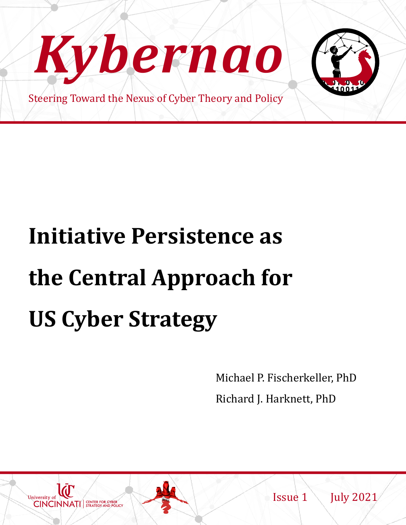

# **Initiative Persistence as the Central Approach for US Cyber Strategy**

Michael P. Fischerkeller, PhD Richard J. Harknett, PhD



Issue 1 July 2021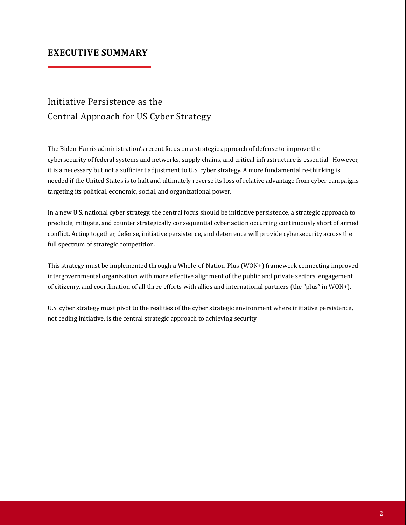#### **EXECUTIVE SUMMARY**

# Initiative Persistence as the Central Approach for US Cyber Strategy

The Biden-Harris administration's recent focus on a strategic approach of defense to improve the cybersecurity of federal systems and networks, supply chains, and critical infrastructure is essential. However, it is a necessary but not a sufficient adjustment to U.S. cyber strategy. A more fundamental re-thinking is needed if the United States is to halt and ultimately reverse its loss of relative advantage from cyber campaigns targeting its political, economic, social, and organizational power.

In a new U.S. national cyber strategy, the central focus should be initiative persistence, a strategic approach to preclude, mitigate, and counter strategically consequential cyber action occurring continuously short of armed conflict. Acting together, defense, initiative persistence, and deterrence will provide cybersecurity across the full spectrum of strategic competition.

This strategy must be implemented through a Whole-of-Nation-Plus (WON+) framework connecting improved intergovernmental organization with more effective alignment of the public and private sectors, engagement of citizenry, and coordination of all three efforts with allies and international partners (the "plus" in WON+).

U.S. cyber strategy must pivot to the realities of the cyber strategic environment where initiative persistence, not ceding initiative, is the central strategic approach to achieving security.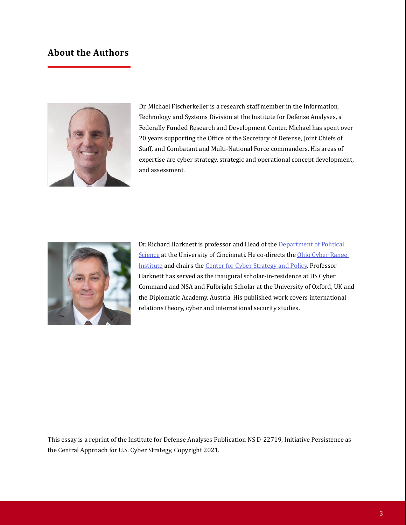#### **About the Authors**



Dr. Michael Fischerkeller is a research staff member in the Information, Technology and Systems Division at the Institute for Defense Analyses, a Federally Funded Research and Development Center. Michael has spent over 20 years supporting the Office of the Secretary of Defense, Joint Chiefs of Staff, and Combatant and Multi-National Force commanders. His areas of expertise are cyber strategy, strategic and operational concept development, and assessment.



Dr. Richard Harknett is professor and Head of the Department of Political Science at the University of Cincinnati. He co-directs the [Ohio Cyber Rang](https://nam11.safelinks.protection.outlook.com/?url=https%3A%2F%2Fwww.ohiocyberrangeinstitute.org%2F&data=04%7C01%7Cfrischey%40mail.uc.edu%7Cb9f118c6fa6b4bf6643508d950501514%7Cf5222e6c5fc648eb8f0373db18203b63%7C1%7C0%7C637629127139382030%7CUnknown%7CTWFpbGZsb3d8eyJWIjoiMC4wLjAwMDAiLCJQIjoiV2luMzIiLCJBTiI6Ik1haWwiLCJXVCI6Mn0%3D%7C1000&sdata=UV8he1aJUNnK%2FaptRBuDhPgdhlCdQgZ6lMY91%2BgDWlQ%3D&reserved=0)e Institute and chairs the [Center for Cyber Strategy and Policy](https://nam11.safelinks.protection.outlook.com/?url=https%3A%2F%2Fwww.artsci.uc.edu%2Fdepartments%2Fpolisci%2Fpolisci-cyber-strategy-html.html&data=04%7C01%7Cfrischey%40mail.uc.edu%7Cb9f118c6fa6b4bf6643508d950501514%7Cf5222e6c5fc648eb8f0373db18203b63%7C1%7C0%7C637629127139392027%7CUnknown%7CTWFpbGZsb3d8eyJWIjoiMC4wLjAwMDAiLCJQIjoiV2luMzIiLCJBTiI6Ik1haWwiLCJXVCI6Mn0%3D%7C1000&sdata=F%2Bcc%2B1z0OojVJs5GQU8HCbcXfuj%2BV9c87mOsV4DU8jA%3D&reserved=0). Professor Harknett has served as the inaugural scholar-in-residence at US Cyber Command and NSA and Fulbright Scholar at the University of Oxford, UK and the Diplomatic Academy, Austria. His published work covers international relations theory, cyber and international security studies.

This essay is a reprint of the Institute for Defense Analyses Publication NS D-22719, Initiative Persistence as the Central Approach for U.S. Cyber Strategy, Copyright 2021.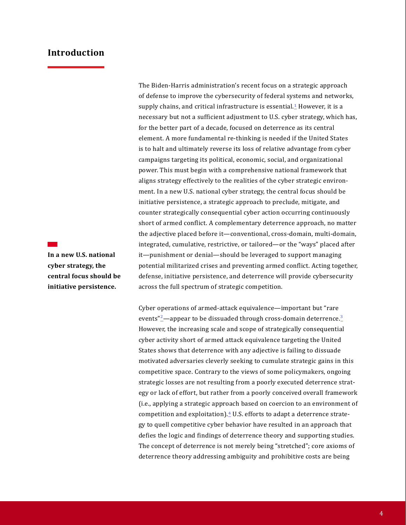#### **Introduction**

**In a new U.S. national cyber strategy, the central focus should be initiative persistence.**

The Biden-Harris administration's recent focus on a strategic approach of defense to improve the cybersecurity of federal systems and networks, supply chains, and critical infrastructure is essential. $1$  However, it is a necessary but not a sufficient adjustment to U.S. cyber strategy, which has, for the better part of a decade, focused on deterrence as its central element. A more fundamental re-thinking is needed if the United States is to halt and ultimately reverse its loss of relative advantage from cyber campaigns targeting its political, economic, social, and organizational power. This must begin with a comprehensive national framework that aligns strategy effectively to the realities of the cyber strategic environment. In a new U.S. national cyber strategy, the central focus should be initiative persistence, a strategic approach to preclude, mitigate, and counter strategically consequential cyber action occurring continuously short of armed conflict. A complementary deterrence approach, no matter the adjective placed before it—conventional, cross-domain, multi-domain, integrated, cumulative, restrictive, or tailored—or the "ways" placed after it—punishment or denial—should be leveraged to support managing potential militarized crises and preventing armed conflict. Acting together, defense, initiative persistence, and deterrence will provide cybersecurity across the full spectrum of strategic competition.

Cyber operations of armed-attack equivalence—important but "rare events" $2$ —appear to be dissuaded through cross-domain deterrence. $3$ However, the increasing scale and scope of strategically consequential cyber activity short of armed attack equivalence targeting the United States shows that deterrence with any adjective is failing to dissuade motivated adversaries cleverly seeking to cumulate strategic gains in this competitive space. Contrary to the views of some policymakers, ongoing strategic losses are not resulting from a poorly executed deterrence strategy or lack of effort, but rather from a poorly conceived overall framework (i.e., applying a strategic approach based on coercion to an environment of competition and exploitation). $4$  U.S. efforts to adapt a deterrence strategy to quell competitive cyber behavior have resulted in an approach that defies the logic and findings of deterrence theory and supporting studies. The concept of deterrence is not merely being "stretched"; core axioms of deterrence theory addressing ambiguity and prohibitive costs are being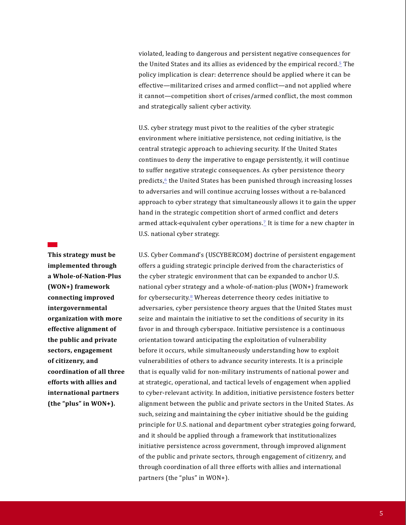violated, leading to dangerous and persistent negative consequences for the United States and its allies as evidenced by the empirical record. $5$  The policy implication is clear: deterrence should be applied where it can be effective—militarized crises and armed conflict—and not applied where it cannot—competition short of crises/armed conflict, the most common and strategically salient cyber activity.

U.S. cyber strategy must pivot to the realities of the cyber strategic environment where initiative persistence, not ceding initiative, is the central strategic approach to achieving security. If the United States continues to deny the imperative to engage persistently, it will continue to suffer negative strategic consequences. As cyber persistence theory predicts,<sup>6</sup> the United States has been punished through increasing losses to adversaries and will continue accruing losses without a re-balanced approach to cyber strategy that simultaneously allows it to gain the upper hand in the strategic competition short of armed conflict and deters armed attack-equivalent cyber operations.<sup>7</sup> It is time for a new chapter in U.S. national cyber strategy.

**This strategy must be implemented through a Whole-of-Nation-Plus (WON+) framework connecting improved intergovernmental organization with more effective alignment of the public and private sectors, engagement of citizenry, and coordination of all three efforts with allies and international partners (the "plus" in WON+).**

U.S. Cyber Command's (USCYBERCOM) doctrine of persistent engagement offers a guiding strategic principle derived from the characteristics of the cyber strategic environment that can be expanded to anchor U.S. national cyber strategy and a whole-of-nation-plus (WON+) framework for cybersecurity.<sup>8</sup> Whereas deterrence theory cedes initiative to adversaries, cyber persistence theory argues that the United States must seize and maintain the initiative to set the conditions of security in its favor in and through cyberspace. Initiative persistence is a continuous orientation toward anticipating the exploitation of vulnerability before it occurs, while simultaneously understanding how to exploit vulnerabilities of others to advance security interests. It is a principle that is equally valid for non-military instruments of national power and at strategic, operational, and tactical levels of engagement when applied to cyber-relevant activity. In addition, initiative persistence fosters better alignment between the public and private sectors in the United States. As such, seizing and maintaining the cyber initiative should be the guiding principle for U.S. national and department cyber strategies going forward, and it should be applied through a framework that institutionalizes initiative persistence across government, through improved alignment of the public and private sectors, through engagement of citizenry, and through coordination of all three efforts with allies and international partners (the "plus" in WON+).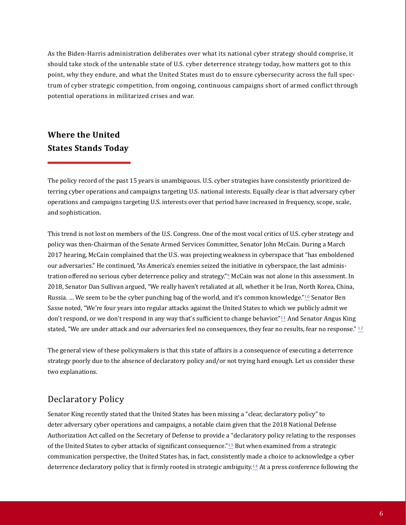As the Biden-Harris administration deliberates over what its national cyber strategy should comprise, it should take stock of the untenable state of U.S. cyber deterrence strategy today, how matters got to this point, why they endure, and what the United States must do to ensure cybersecurity across the full spectrum of cyber strategic competition, from ongoing, continuous campaigns short of armed conflict through potential operations in militarized crises and war.

# **Where the United States Stands Today**

The policy record of the past 15 years is unambiguous. U.S. cyber strategies have consistently prioritized deterring cyber operations and campaigns targeting U.S. national interests. Equally clear is that adversary cyber operations and campaigns targeting U.S. interests over that period have increased in frequency, scope, scale, and sophistication.

This trend is not lost on members of the U.S. Congress. One of the most vocal critics of U.S. cyber strategy and policy was then-Chairman of the Senate Armed Services Committee, Senator John McCain. During a March 2017 hearing, McCain complained that the U.S. was projecting weakness in cyberspace that "has emboldened our adversaries." He continued, "As America's enemies seized the initiative in cyberspace, the last administration offered no serious cyber deterrence policy and strategy."9 McCain was not alone in this assessment. In 2018, Senator Dan Sullivan argued, "We really haven't retaliated at all, whether it be Iran, North Korea, China, Russia. ... We seem to be the cyber punching bag of the world, and it's common knowledge."<sup>10</sup> Senator Ben Sasse noted, "We're four years into regular attacks against the United States to which we publicly admit we don't respond, or we don't respond in any way that's sufficient to change behavior."11 And Senator Angus King stated, "We are under attack and our adversaries feel no consequences, they fear no results, fear no response."  $\frac{12}{2}$ 

The general view of these policymakers is that this state of affairs is a consequence of executing a deterrence strategy poorly due to the absence of declaratory policy and/or not trying hard enough. Let us consider these two explanations.

#### Declaratory Policy

Senator King recently stated that the United States has been missing a "clear, declaratory policy" to deter adversary cyber operations and campaigns, a notable claim given that the 2018 National Defense Authorization Act called on the Secretary of Defense to provide a "declaratory policy relating to the responses of the United States to cyber attacks of significant consequence."13 But when examined from a strategic communication perspective, the United States has, in fact, consistently made a choice to acknowledge a cyber deterrence declaratory policy that is firmly rooted in strategic ambiguity.<sup>14</sup> At a press conference following the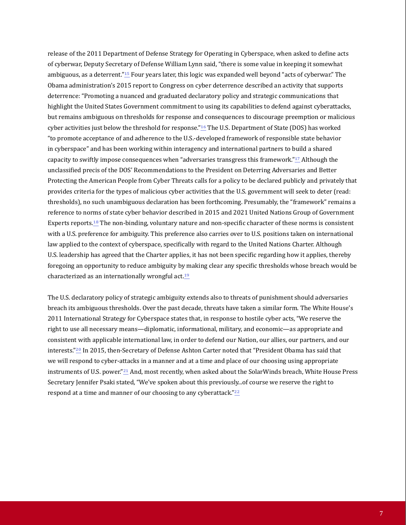release of the 2011 Department of Defense Strategy for Operating in Cyberspace, when asked to define acts of cyberwar, Deputy Secretary of Defense William Lynn said, "there is some value in keeping it somewhat ambiguous, as a deterrent." $15$  Four years later, this logic was expanded well beyond "acts of cyberwar." The Obama administration's 2015 report to Congress on cyber deterrence described an activity that supports deterrence: "Promoting a nuanced and graduated declaratory policy and strategic communications that highlight the United States Government commitment to using its capabilities to defend against cyberattacks, but remains ambiguous on thresholds for response and consequences to discourage preemption or malicious cyber activities just below the threshold for response." $16$  The U.S. Department of State (DOS) has worked "to promote acceptance of and adherence to the U.S.-developed framework of responsible state behavior in cyberspace" and has been working within interagency and international partners to build a shared capacity to swiftly impose consequences when "adversaries transgress this framework." $17$  Although the unclassified precis of the DOS' Recommendations to the President on Deterring Adversaries and Better Protecting the American People from Cyber Threats calls for a policy to be declared publicly and privately that provides criteria for the types of malicious cyber activities that the U.S. government will seek to deter (read: thresholds), no such unambiguous declaration has been forthcoming. Presumably, the "framework" remains a reference to norms of state cyber behavior described in 2015 and 2021 United Nations Group of Government Experts reports.18 The non-binding, voluntary nature and non-specific character of these norms is consistent with a U.S. preference for ambiguity. This preference also carries over to U.S. positions taken on international law applied to the context of cyberspace, specifically with regard to the United Nations Charter. Although U.S. leadership has agreed that the Charter applies, it has not been specific regarding how it applies, thereby foregoing an opportunity to reduce ambiguity by making clear any specific thresholds whose breach would be characterized as an internationally wrongful act.<sup>19</sup>

The U.S. declaratory policy of strategic ambiguity extends also to threats of punishment should adversaries breach its ambiguous thresholds. Over the past decade, threats have taken a similar form. The White House's 2011 International Strategy for Cyberspace states that, in response to hostile cyber acts, "We reserve the right to use all necessary means—diplomatic, informational, military, and economic—as appropriate and consistent with applicable international law, in order to defend our Nation, our allies, our partners, and our interests."20 In 2015, then-Secretary of Defense Ashton Carter noted that "President Obama has said that we will respond to cyber-attacks in a manner and at a time and place of our choosing using appropriate instruments of U.S. power."<sup>21</sup> And, most recently, when asked about the SolarWinds breach, White House Press Secretary Jennifer Psaki stated, "We've spoken about this previously...of course we reserve the right to respond at a time and manner of our choosing to any cyberattack."<sup>22</sup>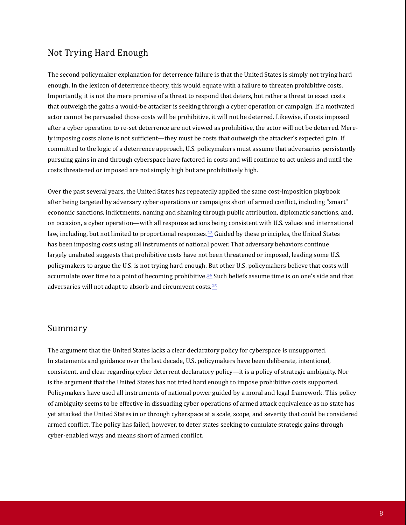#### Not Trying Hard Enough

The second policymaker explanation for deterrence failure is that the United States is simply not trying hard enough. In the lexicon of deterrence theory, this would equate with a failure to threaten prohibitive costs. Importantly, it is not the mere promise of a threat to respond that deters, but rather a threat to exact costs that outweigh the gains a would-be attacker is seeking through a cyber operation or campaign. If a motivated actor cannot be persuaded those costs will be prohibitive, it will not be deterred. Likewise, if costs imposed after a cyber operation to re-set deterrence are not viewed as prohibitive, the actor will not be deterred. Merely imposing costs alone is not sufficient—they must be costs that outweigh the attacker's expected gain. If committed to the logic of a deterrence approach, U.S. policymakers must assume that adversaries persistently pursuing gains in and through cyberspace have factored in costs and will continue to act unless and until the costs threatened or imposed are not simply high but are prohibitively high.

Over the past several years, the United States has repeatedly applied the same cost-imposition playbook after being targeted by adversary cyber operations or campaigns short of armed conflict, including "smart" economic sanctions, indictments, naming and shaming through public attribution, diplomatic sanctions, and, on occasion, a cyber operation—with all response actions being consistent with U.S. values and international law, including, but not limited to proportional responses.<sup>23</sup> Guided by these principles, the United States has been imposing costs using all instruments of national power. That adversary behaviors continue largely unabated suggests that prohibitive costs have not been threatened or imposed, leading some U.S. policymakers to argue the U.S. is not trying hard enough. But other U.S. policymakers believe that costs will accumulate over time to a point of becoming prohibitive.24 Such beliefs assume time is on one's side and that adversaries will not adapt to absorb and circumvent costs.25

#### Summary

The argument that the United States lacks a clear declaratory policy for cyberspace is unsupported. In statements and guidance over the last decade, U.S. policymakers have been deliberate, intentional, consistent, and clear regarding cyber deterrent declaratory policy—it is a policy of strategic ambiguity. Nor is the argument that the United States has not tried hard enough to impose prohibitive costs supported. Policymakers have used all instruments of national power guided by a moral and legal framework. This policy of ambiguity seems to be effective in dissuading cyber operations of armed attack equivalence as no state has yet attacked the United States in or through cyberspace at a scale, scope, and severity that could be considered armed conflict. The policy has failed, however, to deter states seeking to cumulate strategic gains through cyber-enabled ways and means short of armed conflict.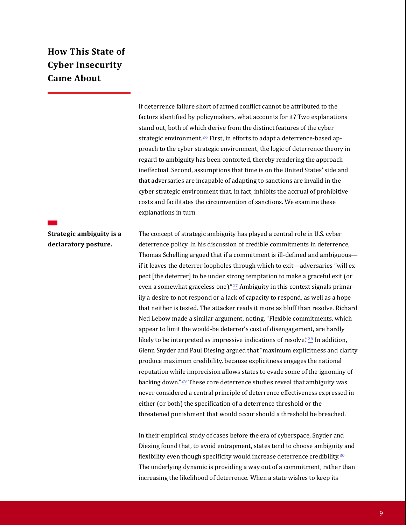# **How This State of Cyber Insecurity Came About**

If deterrence failure short of armed conflict cannot be attributed to the factors identified by policymakers, what accounts for it? Two explanations stand out, both of which derive from the distinct features of the cyber strategic environment.<sup>26</sup> First, in efforts to adapt a deterrence-based approach to the cyber strategic environment, the logic of deterrence theory in regard to ambiguity has been contorted, thereby rendering the approach ineffectual. Second, assumptions that time is on the United States' side and that adversaries are incapable of adapting to sanctions are invalid in the cyber strategic environment that, in fact, inhibits the accrual of prohibitive costs and facilitates the circumvention of sanctions. We examine these explanations in turn.

**Strategic ambiguity is a declaratory posture.**

The concept of strategic ambiguity has played a central role in U.S. cyber deterrence policy. In his discussion of credible commitments in deterrence, Thomas Schelling argued that if a commitment is ill-defined and ambiguous if it leaves the deterrer loopholes through which to exit—adversaries "will expect [the deterrer] to be under strong temptation to make a graceful exit (or even a somewhat graceless one)." $27$  Ambiguity in this context signals primarily a desire to not respond or a lack of capacity to respond, as well as a hope that neither is tested. The attacker reads it more as bluff than resolve. Richard Ned Lebow made a similar argument, noting, "Flexible commitments, which appear to limit the would-be deterrer's cost of disengagement, are hardly likely to be interpreted as impressive indications of resolve."<sup>28</sup> In addition, Glenn Snyder and Paul Diesing argued that "maximum explicitness and clarity produce maximum credibility, because explicitness engages the national reputation while imprecision allows states to evade some of the ignominy of backing down."29 These core deterrence studies reveal that ambiguity was never considered a central principle of deterrence effectiveness expressed in either (or both) the specification of a deterrence threshold or the threatened punishment that would occur should a threshold be breached.

In their empirical study of cases before the era of cyberspace, Snyder and Diesing found that, to avoid entrapment, states tend to choose ambiguity and flexibility even though specificity would increase deterrence credibility.<sup>30</sup> The underlying dynamic is providing a way out of a commitment, rather than increasing the likelihood of deterrence. When a state wishes to keep its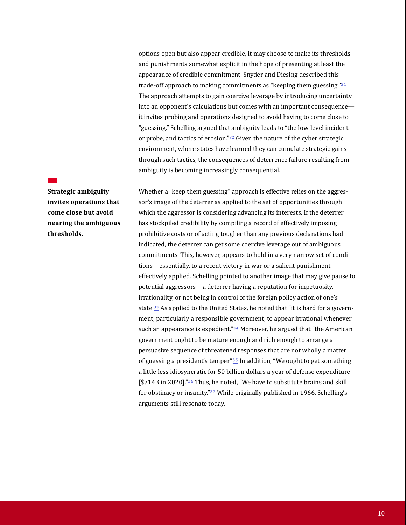options open but also appear credible, it may choose to make its thresholds and punishments somewhat explicit in the hope of presenting at least the appearance of credible commitment. Snyder and Diesing described this trade-off approach to making commitments as "keeping them guessing."<sup>31</sup> The approach attempts to gain coercive leverage by introducing uncertainty into an opponent's calculations but comes with an important consequence it invites probing and operations designed to avoid having to come close to "guessing." Schelling argued that ambiguity leads to "the low-level incident or probe, and tactics of erosion."<sup>32</sup> Given the nature of the cyber strategic environment, where states have learned they can cumulate strategic gains through such tactics, the consequences of deterrence failure resulting from ambiguity is becoming increasingly consequential.

**Strategic ambiguity invites operations that come close but avoid nearing the ambiguous thresholds.**

Whether a "keep them guessing" approach is effective relies on the aggressor's image of the deterrer as applied to the set of opportunities through which the aggressor is considering advancing its interests. If the deterrer has stockpiled credibility by compiling a record of effectively imposing prohibitive costs or of acting tougher than any previous declarations had indicated, the deterrer can get some coercive leverage out of ambiguous commitments. This, however, appears to hold in a very narrow set of conditions—essentially, to a recent victory in war or a salient punishment effectively applied. Schelling pointed to another image that may give pause to potential aggressors—a deterrer having a reputation for impetuosity, irrationality, or not being in control of the foreign policy action of one's state.<sup>33</sup> As applied to the United States, he noted that "it is hard for a government, particularly a responsible government, to appear irrational whenever such an appearance is expedient." $34$  Moreover, he argued that "the American government ought to be mature enough and rich enough to arrange a persuasive sequence of threatened responses that are not wholly a matter of guessing a president's temper."<sup>35</sup> In addition, "We ought to get something a little less idiosyncratic for 50 billion dollars a year of defense expenditure [\$714B in 2020]."<sup>36</sup> Thus, he noted, "We have to substitute brains and skill for obstinacy or insanity."<sup>37</sup> While originally published in 1966, Schelling's arguments still resonate today.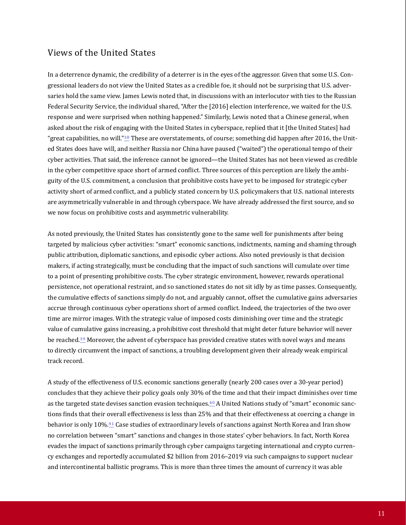#### Views of the United States

In a deterrence dynamic, the credibility of a deterrer is in the eyes of the aggressor. Given that some U.S. Congressional leaders do not view the United States as a credible foe, it should not be surprising that U.S. adversaries hold the same view. James Lewis noted that, in discussions with an interlocutor with ties to the Russian Federal Security Service, the individual shared, "After the [2016] election interference, we waited for the U.S. response and were surprised when nothing happened." Similarly, Lewis noted that a Chinese general, when asked about the risk of engaging with the United States in cyberspace, replied that it [the United States] had "great capabilities, no will."<sup>38</sup> These are overstatements, of course; something did happen after 2016, the United States does have will, and neither Russia nor China have paused ("waited") the operational tempo of their cyber activities. That said, the inference cannot be ignored—the United States has not been viewed as credible in the cyber competitive space short of armed conflict. Three sources of this perception are likely the ambiguity of the U.S. commitment, a conclusion that prohibitive costs have yet to be imposed for strategic cyber activity short of armed conflict, and a publicly stated concern by U.S. policymakers that U.S. national interests are asymmetrically vulnerable in and through cyberspace. We have already addressed the first source, and so we now focus on prohibitive costs and asymmetric vulnerability.

As noted previously, the United States has consistently gone to the same well for punishments after being targeted by malicious cyber activities: "smart" economic sanctions, indictments, naming and shaming through public attribution, diplomatic sanctions, and episodic cyber actions. Also noted previously is that decision makers, if acting strategically, must be concluding that the impact of such sanctions will cumulate over time to a point of presenting prohibitive costs. The cyber strategic environment, however, rewards operational persistence, not operational restraint, and so sanctioned states do not sit idly by as time passes. Consequently, the cumulative effects of sanctions simply do not, and arguably cannot, offset the cumulative gains adversaries accrue through continuous cyber operations short of armed conflict. Indeed, the trajectories of the two over time are mirror images. With the strategic value of imposed costs diminishing over time and the strategic value of cumulative gains increasing, a prohibitive cost threshold that might deter future behavior will never be reached.39 Moreover, the advent of cyberspace has provided creative states with novel ways and means to directly circumvent the impact of sanctions, a troubling development given their already weak empirical track record.

A study of the effectiveness of U.S. economic sanctions generally (nearly 200 cases over a 30-year period) concludes that they achieve their policy goals only 30% of the time and that their impact diminishes over time as the targeted state devises sanction evasion techniques.40 A United Nations study of "smart" economic sanctions finds that their overall effectiveness is less than 25% and that their effectiveness at coercing a change in behavior is only 10%.41 Case studies of extraordinary levels of sanctions against North Korea and Iran show no correlation between "smart" sanctions and changes in those states' cyber behaviors. In fact, North Korea evades the impact of sanctions primarily through cyber campaigns targeting international and crypto currency exchanges and reportedly accumulated \$2 billion from 2016–2019 via such campaigns to support nuclear and intercontinental ballistic programs. This is more than three times the amount of currency it was able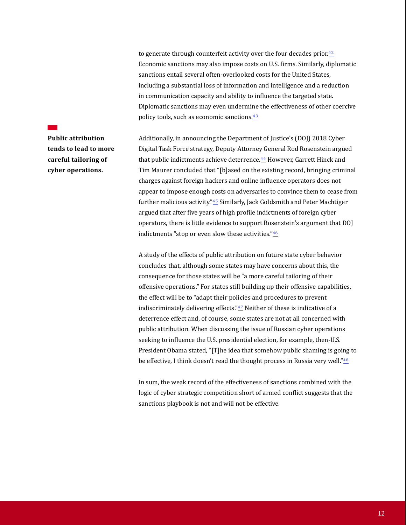to generate through counterfeit activity over the four decades prior. $42$ Economic sanctions may also impose costs on U.S. firms. Similarly, diplomatic sanctions entail several often-overlooked costs for the United States, including a substantial loss of information and intelligence and a reduction in communication capacity and ability to influence the targeted state. Diplomatic sanctions may even undermine the effectiveness of other coercive policy tools, such as economic sanctions.<sup>43</sup>

**Public attribution tends to lead to more careful tailoring of cyber operations.**

Additionally, in announcing the Department of Justice's (DOJ) 2018 Cyber Digital Task Force strategy, Deputy Attorney General Rod Rosenstein argued that public indictments achieve deterrence.<sup>44</sup> However, Garrett Hinck and Tim Maurer concluded that "[b]ased on the existing record, bringing criminal charges against foreign hackers and online influence operators does not appear to impose enough costs on adversaries to convince them to cease from further malicious activity."45 Similarly, Jack Goldsmith and Peter Machtiger argued that after five years of high profile indictments of foreign cyber operators, there is little evidence to support Rosenstein's argument that DOJ indictments "stop or even slow these activities" $46$ 

A study of the effects of public attribution on future state cyber behavior concludes that, although some states may have concerns about this, the consequence for those states will be "a more careful tailoring of their offensive operations." For states still building up their offensive capabilities, the effect will be to "adapt their policies and procedures to prevent indiscriminately delivering effects." $47$  Neither of these is indicative of a deterrence effect and, of course, some states are not at all concerned with public attribution. When discussing the issue of Russian cyber operations seeking to influence the U.S. presidential election, for example, then-U.S. President Obama stated, "[T]he idea that somehow public shaming is going to be effective, I think doesn't read the thought process in Russia very well."<sup>48</sup>

In sum, the weak record of the effectiveness of sanctions combined with the logic of cyber strategic competition short of armed conflict suggests that the sanctions playbook is not and will not be effective.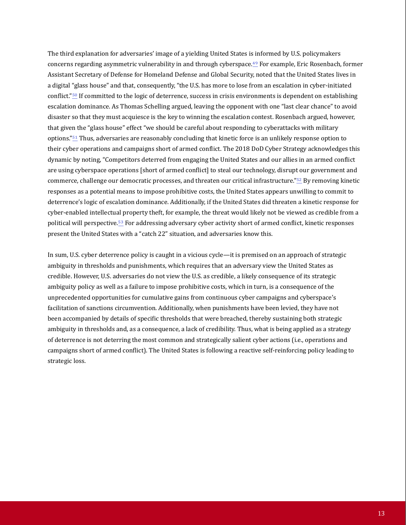The third explanation for adversaries' image of a yielding United States is informed by U.S. policymakers concerns regarding asymmetric vulnerability in and through cyberspace.49 For example, Eric Rosenbach, former Assistant Secretary of Defense for Homeland Defense and Global Security, noted that the United States lives in a digital "glass house" and that, consequently, "the U.S. has more to lose from an escalation in cyber-initiated conflict."50 If committed to the logic of deterrence, success in crisis environments is dependent on establishing escalation dominance. As Thomas Schelling argued, leaving the opponent with one "last clear chance" to avoid disaster so that they must acquiesce is the key to winning the escalation contest. Rosenbach argued, however, that given the "glass house" effect "we should be careful about responding to cyberattacks with military options." $51$  Thus, adversaries are reasonably concluding that kinetic force is an unlikely response option to their cyber operations and campaigns short of armed conflict. The 2018 DoD Cyber Strategy acknowledges this dynamic by noting, "Competitors deterred from engaging the United States and our allies in an armed conflict are using cyberspace operations [short of armed conflict] to steal our technology, disrupt our government and commerce, challenge our democratic processes, and threaten our critical infrastructure."52 By removing kinetic responses as a potential means to impose prohibitive costs, the United States appears unwilling to commit to deterrence's logic of escalation dominance. Additionally, if the United States did threaten a kinetic response for cyber-enabled intellectual property theft, for example, the threat would likely not be viewed as credible from a political will perspective.53 For addressing adversary cyber activity short of armed conflict, kinetic responses present the United States with a "catch 22" situation, and adversaries know this.

In sum, U.S. cyber deterrence policy is caught in a vicious cycle—it is premised on an approach of strategic ambiguity in thresholds and punishments, which requires that an adversary view the United States as credible. However, U.S. adversaries do not view the U.S. as credible, a likely consequence of its strategic ambiguity policy as well as a failure to impose prohibitive costs, which in turn, is a consequence of the unprecedented opportunities for cumulative gains from continuous cyber campaigns and cyberspace's facilitation of sanctions circumvention. Additionally, when punishments have been levied, they have not been accompanied by details of specific thresholds that were breached, thereby sustaining both strategic ambiguity in thresholds and, as a consequence, a lack of credibility. Thus, what is being applied as a strategy of deterrence is not deterring the most common and strategically salient cyber actions (i.e., operations and campaigns short of armed conflict). The United States is following a reactive self-reinforcing policy leading to strategic loss.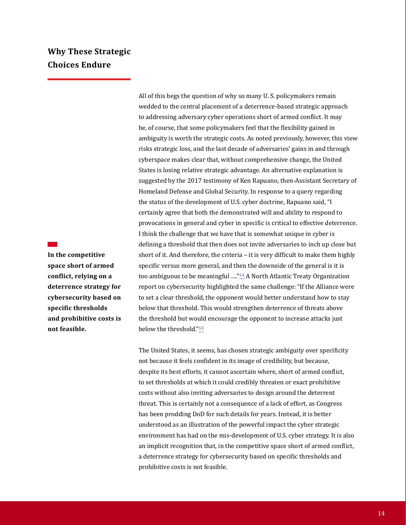## **Why These Strategic Choices Endure**

**In the competitive space short of armed conflict, relying on a deterrence strategy for cybersecurity based on specific thresholds and prohibitive costs is not feasible.**

All of this begs the question of why so many U. S. policymakers remain wedded to the central placement of a deterrence-based strategic approach to addressing adversary cyber operations short of armed conflict. It may be, of course, that some policymakers feel that the flexibility gained in ambiguity is worth the strategic costs. As noted previously, however, this view risks strategic loss, and the last decade of adversaries' gains in and through cyberspace makes clear that, without comprehensive change, the United States is losing relative strategic advantage. An alternative explanation is suggested by the 2017 testimony of Ken Rapuano, then-Assistant Secretary of Homeland Defense and Global Security. In response to a query regarding the status of the development of U.S. cyber doctrine, Rapuano said, "I certainly agree that both the demonstrated will and ability to respond to provocations in general and cyber in specific is critical to effective deterrence. I think the challenge that we have that is somewhat unique in cyber is defining a threshold that then does not invite adversaries to inch up close but short of it. And therefore, the criteria – it is very difficult to make them highly specific versus more general, and then the downside of the general is it is too ambiguous to be meaningful ...."<sup>54</sup> A North Atlantic Treaty Organization report on cybersecurity highlighted the same challenge: "If the Alliance were to set a clear threshold, the opponent would better understand how to stay below that threshold. This would strengthen deterrence of threats above the threshold but would encourage the opponent to increase attacks just below the threshold."55

The United States, it seems, has chosen strategic ambiguity over specificity not because it feels confident in its image of credibility, but because, despite its best efforts, it cannot ascertain where, short of armed conflict, to set thresholds at which it could credibly threaten or exact prohibitive costs without also inviting adversaries to design around the deterrent threat. This is certainly not a consequence of a lack of effort, as Congress has been prodding DoD for such details for years. Instead, it is better understood as an illustration of the powerful impact the cyber strategic environment has had on the mis-development of U.S. cyber strategy. It is also an implicit recognition that, in the competitive space short of armed conflict, a deterrence strategy for cybersecurity based on specific thresholds and prohibitive costs is not feasible.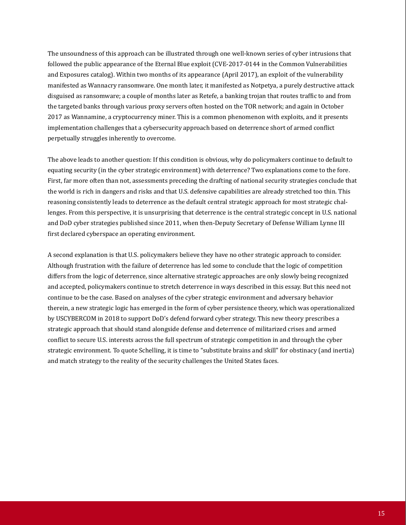The unsoundness of this approach can be illustrated through one well-known series of cyber intrusions that followed the public appearance of the Eternal Blue exploit (CVE-2017-0144 in the Common Vulnerabilities and Exposures catalog). Within two months of its appearance (April 2017), an exploit of the vulnerability manifested as Wannacry ransomware. One month later, it manifested as Notpetya, a purely destructive attack disguised as ransomware; a couple of months later as Retefe, a banking trojan that routes traffic to and from the targeted banks through various proxy servers often hosted on the TOR network; and again in October 2017 as Wannamine, a cryptocurrency miner. This is a common phenomenon with exploits, and it presents implementation challenges that a cybersecurity approach based on deterrence short of armed conflict perpetually struggles inherently to overcome.

The above leads to another question: If this condition is obvious, why do policymakers continue to default to equating security (in the cyber strategic environment) with deterrence? Two explanations come to the fore. First, far more often than not, assessments preceding the drafting of national security strategies conclude that the world is rich in dangers and risks and that U.S. defensive capabilities are already stretched too thin. This reasoning consistently leads to deterrence as the default central strategic approach for most strategic challenges. From this perspective, it is unsurprising that deterrence is the central strategic concept in U.S. national and DoD cyber strategies published since 2011, when then-Deputy Secretary of Defense William Lynne III first declared cyberspace an operating environment.

A second explanation is that U.S. policymakers believe they have no other strategic approach to consider. Although frustration with the failure of deterrence has led some to conclude that the logic of competition differs from the logic of deterrence, since alternative strategic approaches are only slowly being recognized and accepted, policymakers continue to stretch deterrence in ways described in this essay. But this need not continue to be the case. Based on analyses of the cyber strategic environment and adversary behavior therein, a new strategic logic has emerged in the form of cyber persistence theory, which was operationalized by USCYBERCOM in 2018 to support DoD's defend forward cyber strategy. This new theory prescribes a strategic approach that should stand alongside defense and deterrence of militarized crises and armed conflict to secure U.S. interests across the full spectrum of strategic competition in and through the cyber strategic environment. To quote Schelling, it is time to "substitute brains and skill" for obstinacy (and inertia) and match strategy to the reality of the security challenges the United States faces.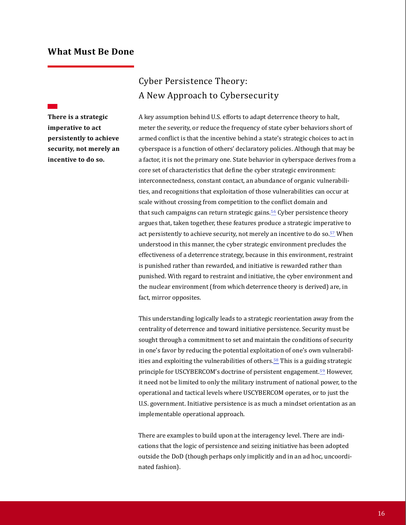#### **What Must Be Done**

**There is a strategic imperative to act persistently to achieve security, not merely an incentive to do so.**

# Cyber Persistence Theory: A New Approach to Cybersecurity

A key assumption behind U.S. efforts to adapt deterrence theory to halt, meter the severity, or reduce the frequency of state cyber behaviors short of armed conflict is that the incentive behind a state's strategic choices to act in cyberspace is a function of others' declaratory policies. Although that may be a factor, it is not the primary one. State behavior in cyberspace derives from a core set of characteristics that define the cyber strategic environment: interconnectedness, constant contact, an abundance of organic vulnerabilities, and recognitions that exploitation of those vulnerabilities can occur at scale without crossing from competition to the conflict domain and that such campaigns can return strategic gains.<sup>56</sup> Cyber persistence theory argues that, taken together, these features produce a strategic imperative to act persistently to achieve security, not merely an incentive to do so.<sup>57</sup> When understood in this manner, the cyber strategic environment precludes the effectiveness of a deterrence strategy, because in this environment, restraint is punished rather than rewarded, and initiative is rewarded rather than punished. With regard to restraint and initiative, the cyber environment and the nuclear environment (from which deterrence theory is derived) are, in fact, mirror opposites.

This understanding logically leads to a strategic reorientation away from the centrality of deterrence and toward initiative persistence. Security must be sought through a commitment to set and maintain the conditions of security in one's favor by reducing the potential exploitation of one's own vulnerabilities and exploiting the vulnerabilities of others.<sup>58</sup> This is a guiding strategic principle for USCYBERCOM's doctrine of persistent engagement.<sup>59</sup> However, it need not be limited to only the military instrument of national power, to the operational and tactical levels where USCYBERCOM operates, or to just the U.S. government. Initiative persistence is as much a mindset orientation as an implementable operational approach.

There are examples to build upon at the interagency level. There are indications that the logic of persistence and seizing initiative has been adopted outside the DoD (though perhaps only implicitly and in an ad hoc, uncoordinated fashion).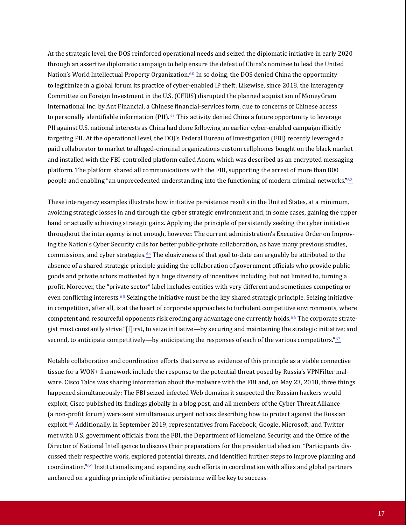At the strategic level, the DOS reinforced operational needs and seized the diplomatic initiative in early 2020 through an assertive diplomatic campaign to help ensure the defeat of China's nominee to lead the United Nation's World Intellectual Property Organization.<sup>60</sup> In so doing, the DOS denied China the opportunity to legitimize in a global forum its practice of cyber-enabled IP theft. Likewise, since 2018, the interagency Committee on Foreign Investment in the U.S. (CFIUS) disrupted the planned acquisition of MoneyGram International Inc. by Ant Financial, a Chinese financial-services form, due to concerns of Chinese access to personally identifiable information (PII). $61$  This activity denied China a future opportunity to leverage PII against U.S. national interests as China had done following an earlier cyber-enabled campaign illicitly targeting PII. At the operational level, the DOJ's Federal Bureau of Investigation (FBI) recently leveraged a paid collaborator to market to alleged-criminal organizations custom cellphones bought on the black market and installed with the FBI-controlled platform called Anom, which was described as an encrypted messaging platform. The platform shared all communications with the FBI, supporting the arrest of more than 800 people and enabling "an unprecedented understanding into the functioning of modern criminal networks."63

These interagency examples illustrate how initiative persistence results in the United States, at a minimum, avoiding strategic losses in and through the cyber strategic environment and, in some cases, gaining the upper hand or actually achieving strategic gains. Applying the principle of persistently seeking the cyber initiative throughout the interagency is not enough, however. The current administration's Executive Order on Improving the Nation's Cyber Security calls for better public-private collaboration, as have many previous studies, commissions, and cyber strategies.64 The elusiveness of that goal to-date can arguably be attributed to the absence of a shared strategic principle guiding the collaboration of government officials who provide public goods and private actors motivated by a huge diversity of incentives including, but not limited to, turning a profit. Moreover, the "private sector" label includes entities with very different and sometimes competing or even conflicting interests.<sup>65</sup> Seizing the initiative must be the key shared strategic principle. Seizing initiative in competition, after all, is at the heart of corporate approaches to turbulent competitive environments, where competent and resourceful opponents risk eroding any advantage one currently holds.66 The corporate strategist must constantly strive "[f]irst, to seize initiative—by securing and maintaining the strategic initiative; and second, to anticipate competitively—by anticipating the responses of each of the various competitors."<sup>67</sup>

Notable collaboration and coordination efforts that serve as evidence of this principle as a viable connective tissue for a WON+ framework include the response to the potential threat posed by Russia's VPNFilter malware. Cisco Talos was sharing information about the malware with the FBI and, on May 23, 2018, three things happened simultaneously: The FBI seized infected Web domains it suspected the Russian hackers would exploit, Cisco published its findings globally in a blog post, and all members of the Cyber Threat Alliance (a non-profit forum) were sent simultaneous urgent notices describing how to protect against the Russian exploit.68 Additionally, in September 2019, representatives from Facebook, Google, Microsoft, and Twitter met with U.S. government officials from the FBI, the Department of Homeland Security, and the Office of the Director of National Intelligence to discuss their preparations for the presidential election. "Participants discussed their respective work, explored potential threats, and identified further steps to improve planning and coordination."69 Institutionalizing and expanding such efforts in coordination with allies and global partners anchored on a guiding principle of initiative persistence will be key to success.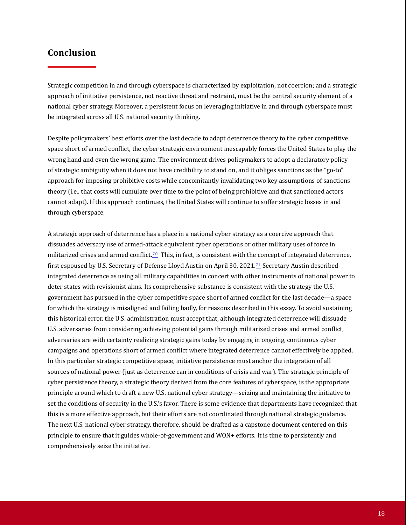#### **Conclusion**

Strategic competition in and through cyberspace is characterized by exploitation, not coercion; and a strategic approach of initiative persistence, not reactive threat and restraint, must be the central security element of a national cyber strategy. Moreover, a persistent focus on leveraging initiative in and through cyberspace must be integrated across all U.S. national security thinking.

Despite policymakers' best efforts over the last decade to adapt deterrence theory to the cyber competitive space short of armed conflict, the cyber strategic environment inescapably forces the United States to play the wrong hand and even the wrong game. The environment drives policymakers to adopt a declaratory policy of strategic ambiguity when it does not have credibility to stand on, and it obliges sanctions as the "go-to" approach for imposing prohibitive costs while concomitantly invalidating two key assumptions of sanctions theory (i.e., that costs will cumulate over time to the point of being prohibitive and that sanctioned actors cannot adapt). If this approach continues, the United States will continue to suffer strategic losses in and through cyberspace.

A strategic approach of deterrence has a place in a national cyber strategy as a coercive approach that dissuades adversary use of armed-attack equivalent cyber operations or other military uses of force in militarized crises and armed conflict.<sup>70</sup> This, in fact, is consistent with the concept of integrated deterrence, first espoused by U.S. Secretary of Defense Lloyd Austin on April 30, 2021.<sup>71</sup> Secretary Austin described integrated deterrence as using all military capabilities in concert with other instruments of national power to deter states with revisionist aims. Its comprehensive substance is consistent with the strategy the U.S. government has pursued in the cyber competitive space short of armed conflict for the last decade—a space for which the strategy is misaligned and failing badly, for reasons described in this essay. To avoid sustaining this historical error, the U.S. administration must accept that, although integrated deterrence will dissuade U.S. adversaries from considering achieving potential gains through militarized crises and armed conflict, adversaries are with certainty realizing strategic gains today by engaging in ongoing, continuous cyber campaigns and operations short of armed conflict where integrated deterrence cannot effectively be applied. In this particular strategic competitive space, initiative persistence must anchor the integration of all sources of national power (just as deterrence can in conditions of crisis and war). The strategic principle of cyber persistence theory, a strategic theory derived from the core features of cyberspace, is the appropriate principle around which to draft a new U.S. national cyber strategy—seizing and maintaining the initiative to set the conditions of security in the U.S.'s favor. There is some evidence that departments have recognized that this is a more effective approach, but their efforts are not coordinated through national strategic guidance. The next U.S. national cyber strategy, therefore, should be drafted as a capstone document centered on this principle to ensure that it guides whole-of-government and WON+ efforts. It is time to persistently and comprehensively seize the initiative.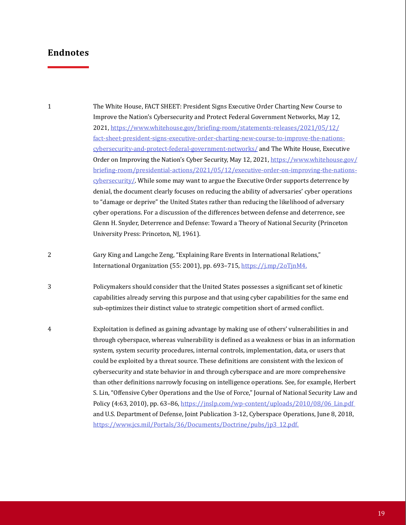The White House, FACT SHEET: President Signs Executive Order Charting New Course to Improve the Nation's Cybersecurity and Protect Federal Government Networks, May 12, 2021, https://www.whitehouse.gov/briefing-room/statements-releases/2021/05/12/ fact-sheet-president-signs-executive-order-charting-new-course-to-improve-the-nations[cybersecurity-and-protect-federal-government-networks/ and The White House, Executive](https://www.whitehouse.gov/briefing-room/statements-releases/2021/05/12/fact-sheet-president-signs-executive-order-charting-new-course-to-improve-the-nations-cybersecurity-and-protect-federal-government-networks/)  [Order on Improving the Nation's Cyber Security, May 12, 2021, https://www.whitehouse.gov/](https://www.whitehouse.gov/briefing-room/presidential-actions/2021/05/12/executive-order-on-improving-the-nations-cybersecurity/) briefing-room/presidential-actions/2021/05/12/executive-order-on-improving-the-nationscybersecurity/. While some may want to argue the Executive Order supports deterrence by denial, the document clearly focuses on reducing the ability of adversaries' cyber operations to "damage or deprive" the United States rather than reducing the likelihood of adversary cyber operations. For a discussion of the differences between defense and deterrence, see Glenn H. Snyder, Deterrence and Defense: Toward a Theory of National Security (Princeton University Press: Princeton, NJ, 1961). Gary King and Langche Zeng, "Explaining Rare Events in International Relations," 1 2

Policymakers should consider that the United States possesses a significant set of kinetic capabilities already serving this purpose and that using cyber capabilities for the same end sub-optimizes their distinct value to strategic competition short of armed conflict. 3

International Organization (55: 2001), pp. 693-715,<https://j.mp/2oTjnM4.>

Exploitation is defined as gaining advantage by making use of others' vulnerabilities in and through cyberspace, whereas vulnerability is defined as a weakness or bias in an information system, system security procedures, internal controls, implementation, data, or users that could be exploited by a threat source. These definitions are consistent with the lexicon of cybersecurity and state behavior in and through cyberspace and are more comprehensive than other definitions narrowly focusing on intelligence operations. See, for example, Herbert S. Lin, "Offensive Cyber Operations and the Use of Force," Journal of National Security Law and Policy (4:63, 2010), pp. 63-86, https://jnslp.com/wp-content/uploads/2010/08/06\_Lin.pdf and U.S. Department of Defense, Joint Publication 3-12, Cyberspace Operations, June 8, 2018, [https://www.jcs.mil/Portals/36/Documents/Doctrine/pubs/jp3\\_12.pdf.](https://www.jcs.mil/Portals/36/Documents/Doctrine/pubs/jp3_12.pdf.) 4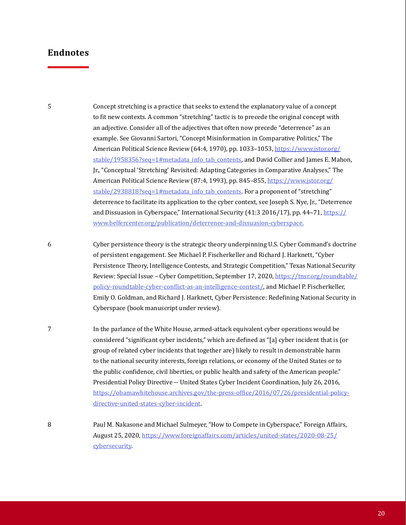5

Concept stretching is a practice that seeks to extend the explanatory value of a concept to fit new contexts. A common "stretching" tactic is to precede the original concept with an adjective. Consider all of the adjectives that often now precede "deterrence" as an example. See Giovanni Sartori, "Concept Misinformation in Comparative Politics," The American Political Science Review (64:4, 1970), pp. 1033-1053, https://www.jstor.org/ stable/1958356?seq=1#metadata\_info\_tab\_contents, and David Collier and James E. Mahon, Jr., "Conceptual 'Stretching' Revisited: Adapting Categories in Comparative Analyses," The American Political Science Review (87:4, 1993), pp. 845-855, https://www.jstor.org/ stable/2938818?seq=1#metadata\_info\_tab\_contents. For a proponent of "stretching" deterrence to facilitate its application to the cyber context, see Joseph S. Nye, Jr., "Deterrence [and Dissuasion in Cyberspace," International Security \(41:3 2016/17\), pp. 44–71, https://](https://www.belfercenter.org/publication/deterrence-and-dissuasion-cyberspace.) www.belfercenter.org/publication/deterrence-and-dissuasion-cyberspace.

Cyber persistence theory is the strategic theory underpinning U.S. Cyber Command's doctrine of persistent engagement. See Michael P. Fischerkeller and Richard J. Harknett, "Cyber Persistence Theory, Intelligence Contests, and Strategic Competition," Texas National Security [Review: Special Issue – Cyber Competition, September 17, 2020, https://tnsr.org/roundtable/](https://tnsr.org/roundtable/policy-roundtable-cyber-conflict-as-an-intelligence-contest/) policy-roundtable-cyber-conflict-as-an-intelligence-contest/, and Michael P. Fischerkeller, Emily O. Goldman, and Richard J. Harknett, Cyber Persistence: Redefining National Security in Cyberspace (book manuscript under review). 6

In the parlance of the White House, armed-attack equivalent cyber operations would be considered "significant cyber incidents," which are defined as "[a] cyber incident that is (or group of related cyber incidents that together are) likely to result in demonstrable harm to the national security interests, foreign relations, or economy of the United States or to the public confidence, civil liberties, or public health and safety of the American people." Presidential Policy Directive -- United States Cyber Incident Coordination, July 26, 2016, [https://obamawhitehouse.archives.gov/the-press-office/2016/07/26/presidential-policy](https://obamawhitehouse.archives.gov/the-press-office/2016/07/26/presidential-policy-directive-united-states-cyber-incident)directive-united-states-cyber-incident. 7

Paul M. Nakasone and Michael Sulmeyer, "How to Compete in Cyberspace," Foreign Affairs, [August 25, 2020, https://www.foreignaffairs.com/articles/united-states/2020-08-25/](https://www.foreignaffairs.com/articles/united-states/2020-08-25/cybersecurity) cybersecurity. 8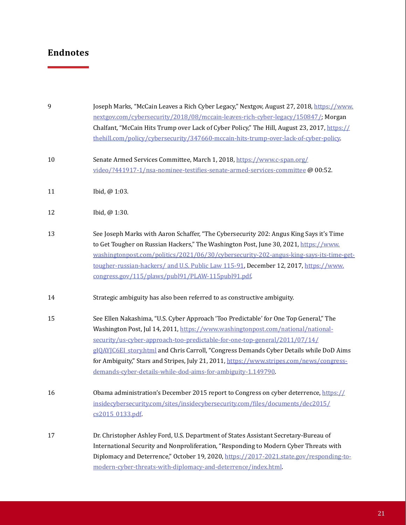| Ÿ  | Joseph Marks, "McCain Leaves a Rich Cyber Legacy," Nextgov, August 27, 2018, https://www.<br>nextgov.com/cybersecurity/2018/08/mccain-leaves-rich-cyber-legacy/150847/; Morgan<br>Chalfant, "McCain Hits Trump over Lack of Cyber Policy," The Hill, August 23, 2017, https://<br>thehill.com/policy/cybersecurity/347660-mccain-hits-trump-over-lack-of-cyber-policy                                                                                                                                         |
|----|---------------------------------------------------------------------------------------------------------------------------------------------------------------------------------------------------------------------------------------------------------------------------------------------------------------------------------------------------------------------------------------------------------------------------------------------------------------------------------------------------------------|
| 10 | Senate Armed Services Committee, March 1, 2018, https://www.c-span.org/<br>video/?441917-1/nsa-nominee-testifies-senate-armed-services-committee @ 00:52.                                                                                                                                                                                                                                                                                                                                                     |
| 11 | Ibid, @ 1:03.                                                                                                                                                                                                                                                                                                                                                                                                                                                                                                 |
| 12 | Ibid, @ 1:30.                                                                                                                                                                                                                                                                                                                                                                                                                                                                                                 |
| 13 | See Joseph Marks with Aaron Schaffer, "The Cybersecurity 202: Angus King Says it's Time<br>to Get Tougher on Russian Hackers," The Washington Post, June 30, 2021, https://www.<br>washingtonpost.com/politics/2021/06/30/cvbersecurity-202-angus-king-says-its-time-get-<br>tougher-russian-hackers/ and U.S. Public Law 115-91, December 12, 2017, https://www.<br>congress.gov/115/plaws/publ91/PLAW-115publ91.pdf                                                                                         |
| 14 | Strategic ambiguity has also been referred to as constructive ambiguity.                                                                                                                                                                                                                                                                                                                                                                                                                                      |
| 15 | See Ellen Nakashima, "U.S. Cyber Approach 'Too Predictable' for One Top General," The<br>Washington Post, Jul 14, 2011, https://www.washingtonpost.com/national/national-<br>security/us-cyber-approach-too-predictable-for-one-top-general/2011/07/14/<br>gIQAYJC6EI_story.html and Chris Carroll, "Congress Demands Cyber Details while DoD Aims<br>for Ambiguity," Stars and Stripes, July 21, 2011, https://www.stripes.com/news/congress-<br>demands-cyber-details-while-dod-aims-for-ambiguity-1.149790 |
| 16 | Obama administration's December 2015 report to Congress on cyber deterrence, https://<br>insidecybersecurity.com/sites/insidecybersecurity.com/files/documents/dec2015/<br>cs2015_0133.pdf                                                                                                                                                                                                                                                                                                                    |
| 17 | Dr. Christopher Ashley Ford, U.S. Department of States Assistant Secretary-Bureau of<br>International Security and Nonproliferation, "Responding to Modern Cyber Threats with<br>Diplomacy and Deterrence," October 19, 2020, https://2017-2021.state.gov/responding-to-<br>modern-cyber-threats-with-diplomacy-and-deterrence/index.html                                                                                                                                                                     |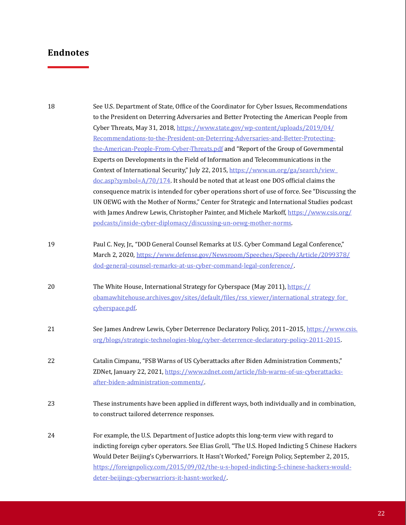| 18 | See U.S. Department of State, Office of the Coordinator for Cyber Issues, Recommendations       |
|----|-------------------------------------------------------------------------------------------------|
|    | to the President on Deterring Adversaries and Better Protecting the American People from        |
|    | Cyber Threats, May 31, 2018, https://www.state.gov/wp-content/uploads/2019/04/                  |
|    | Recommendations-to-the-President-on-Deterring-Adversaries-and-Better-Protecting-                |
|    | the-American-People-From-Cyber-Threats.pdf and "Report of the Group of Governmental             |
|    | Experts on Developments in the Field of Information and Telecommunications in the               |
|    | Context of International Security," July 22, 2015, https://www.un.org/ga/search/view            |
|    | $doc.asp?symbol=A/70/174$ . It should be noted that at least one DOS official claims the        |
|    | consequence matrix is intended for cyber operations short of use of force. See "Discussing the  |
|    | UN OEWG with the Mother of Norms," Center for Strategic and International Studies podcast       |
|    | with James Andrew Lewis, Christopher Painter, and Michele Markoff, https://www.csis.org/        |
|    | podcasts/inside-cyber-diplomacy/discussing-un-oewg-mother-norms.                                |
| 19 | Paul C. Ney, Jr., "DOD General Counsel Remarks at U.S. Cyber Command Legal Conference,"         |
|    | March 2, 2020, https://www.defense.gov/Newsroom/Speeches/Speech/Article/2099378/                |
|    | dod-general-counsel-remarks-at-us-cyber-command-legal-conference/                               |
| 20 | The White House, International Strategy for Cyberspace (May 2011), https://                     |
|    | obamawhitehouse.archives.gov/sites/default/files/rss viewer/international strategy for          |
|    | cyberspace.pdf                                                                                  |
| 21 | See James Andrew Lewis, Cyber Deterrence Declaratory Policy, 2011-2015, https://www.csis.       |
|    | org/blogs/strategic-technologies-blog/cyber-deterrence-declaratory-policy-2011-2015             |
| 22 | Catalin Cimpanu, "FSB Warns of US Cyberattacks after Biden Administration Comments,"            |
|    | ZDNet, January 22, 2021, https://www.zdnet.com/article/fsb-warns-of-us-cyberattacks-            |
|    | after-biden-administration-comments/                                                            |
| 23 | These instruments have been applied in different ways, both individually and in combination,    |
|    | to construct tailored deterrence responses.                                                     |
| 24 | For example, the U.S. Department of Justice adopts this long-term view with regard to           |
|    | indicting foreign cyber operators. See Elias Groll, "The U.S. Hoped Indicting 5 Chinese Hackers |
|    | Would Deter Beijing's Cyberwarriors. It Hasn't Worked," Foreign Policy, September 2, 2015,      |
|    | https://foreignpolicy.com/2015/09/02/the-u-s-hoped-indicting-5-chinese-hackers-would-           |
|    | deter-beijings-cyberwarriors-it-hasnt-worked/                                                   |
|    |                                                                                                 |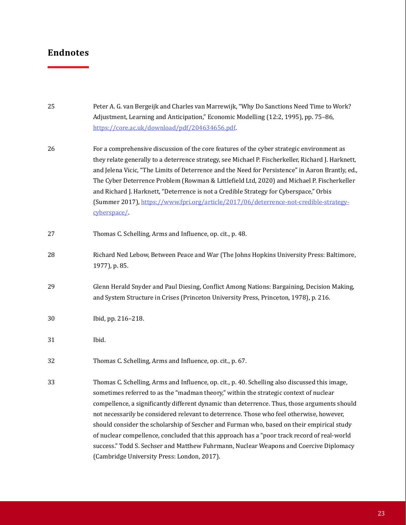| 25 | Peter A. G. van Bergeijk and Charles van Marrewijk, "Why Do Sanctions Need Time to Work?<br>Adjustment, Learning and Anticipation," Economic Modelling (12:2, 1995), pp. 75-86,<br>https://core.ac.uk/download/pdf/204634656.pdf                                                                                                                                                                                                                                                                                                                                                                                                                                                                                         |
|----|--------------------------------------------------------------------------------------------------------------------------------------------------------------------------------------------------------------------------------------------------------------------------------------------------------------------------------------------------------------------------------------------------------------------------------------------------------------------------------------------------------------------------------------------------------------------------------------------------------------------------------------------------------------------------------------------------------------------------|
| 26 | For a comprehensive discussion of the core features of the cyber strategic environment as<br>they relate generally to a deterrence strategy, see Michael P. Fischerkeller, Richard J. Harknett,<br>and Jelena Vicic, "The Limits of Deterrence and the Need for Persistence" in Aaron Brantly, ed.,<br>The Cyber Deterrence Problem (Rowman & Littlefield Ltd, 2020) and Michael P. Fischerkeller<br>and Richard J. Harknett, "Deterrence is not a Credible Strategy for Cyberspace," Orbis<br>(Summer 2017), https://www.fpri.org/article/2017/06/deterrence-not-credible-strategy-<br>cyberspace/                                                                                                                      |
| 27 | Thomas C. Schelling, Arms and Influence, op. cit., p. 48.                                                                                                                                                                                                                                                                                                                                                                                                                                                                                                                                                                                                                                                                |
| 28 | Richard Ned Lebow, Between Peace and War (The Johns Hopkins University Press: Baltimore,<br>1977), p. 85.                                                                                                                                                                                                                                                                                                                                                                                                                                                                                                                                                                                                                |
| 29 | Glenn Herald Snyder and Paul Diesing, Conflict Among Nations: Bargaining, Decision Making,<br>and System Structure in Crises (Princeton University Press, Princeton, 1978), p. 216.                                                                                                                                                                                                                                                                                                                                                                                                                                                                                                                                      |
| 30 | Ibid, pp. 216-218.                                                                                                                                                                                                                                                                                                                                                                                                                                                                                                                                                                                                                                                                                                       |
| 31 | Ibid.                                                                                                                                                                                                                                                                                                                                                                                                                                                                                                                                                                                                                                                                                                                    |
| 32 | Thomas C. Schelling, Arms and Influence, op. cit., p. 67.                                                                                                                                                                                                                                                                                                                                                                                                                                                                                                                                                                                                                                                                |
| 33 | Thomas C. Schelling, Arms and Influence, op. cit., p. 40. Schelling also discussed this image,<br>sometimes referred to as the "madman theory," within the strategic context of nuclear<br>compellence, a significantly different dynamic than deterrence. Thus, those arguments should<br>not necessarily be considered relevant to deterrence. Those who feel otherwise, however,<br>should consider the scholarship of Sescher and Furman who, based on their empirical study<br>of nuclear compellence, concluded that this approach has a "poor track record of real-world<br>success." Todd S. Sechser and Matthew Fuhrmann, Nuclear Weapons and Coercive Diplomacy<br>(Cambridge University Press: London, 2017). |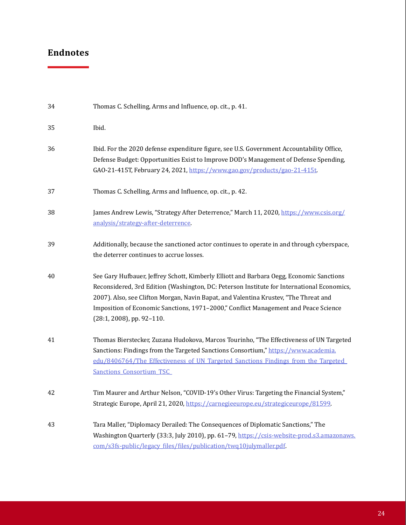| 34 | Thomas C. Schelling, Arms and Influence, op. cit., p. 41.                                                                                                                                                                                                                                                                                                                                             |
|----|-------------------------------------------------------------------------------------------------------------------------------------------------------------------------------------------------------------------------------------------------------------------------------------------------------------------------------------------------------------------------------------------------------|
| 35 | Ibid.                                                                                                                                                                                                                                                                                                                                                                                                 |
| 36 | Ibid. For the 2020 defense expenditure figure, see U.S. Government Accountability Office,<br>Defense Budget: Opportunities Exist to Improve DOD's Management of Defense Spending,<br>GAO-21-415T, February 24, 2021, https://www.gao.gov/products/gao-21-415t.                                                                                                                                        |
| 37 | Thomas C. Schelling, Arms and Influence, op. cit., p. 42.                                                                                                                                                                                                                                                                                                                                             |
| 38 | James Andrew Lewis, "Strategy After Deterrence," March 11, 2020, https://www.csis.org/<br>analysis/strategy-after-deterrence                                                                                                                                                                                                                                                                          |
| 39 | Additionally, because the sanctioned actor continues to operate in and through cyberspace,<br>the deterrer continues to accrue losses.                                                                                                                                                                                                                                                                |
| 40 | See Gary Hufbauer, Jeffrey Schott, Kimberly Elliott and Barbara Oegg, Economic Sanctions<br>Reconsidered, 3rd Edition (Washington, DC: Peterson Institute for International Economics,<br>2007). Also, see Clifton Morgan, Navin Bapat, and Valentina Krustev, "The Threat and<br>Imposition of Economic Sanctions, 1971-2000," Conflict Management and Peace Science<br>$(28:1, 2008)$ , pp. 92-110. |
| 41 | Thomas Bierstecker, Zuzana Hudokova, Marcos Tourinho, "The Effectiveness of UN Targeted<br>Sanctions: Findings from the Targeted Sanctions Consortium," https://www.academia.<br>edu/8406764/The Effectiveness of UN Targeted Sanctions Findings from the Targeted<br><b>Sanctions Consortium TSC</b>                                                                                                 |
| 42 | Tim Maurer and Arthur Nelson, "COVID-19's Other Virus: Targeting the Financial System,"<br>Strategic Europe, April 21, 2020, https://carnegieeurope.eu/strategiceurope/81599.                                                                                                                                                                                                                         |
| 43 | Tara Maller, "Diplomacy Derailed: The Consequences of Diplomatic Sanctions," The<br>Washington Quarterly (33:3, July 2010), pp. 61-79, https://csis-website-prod.s3.amazonaws.<br>com/s3fs-public/legacy_files/files/publication/twq10julymaller.pdf                                                                                                                                                  |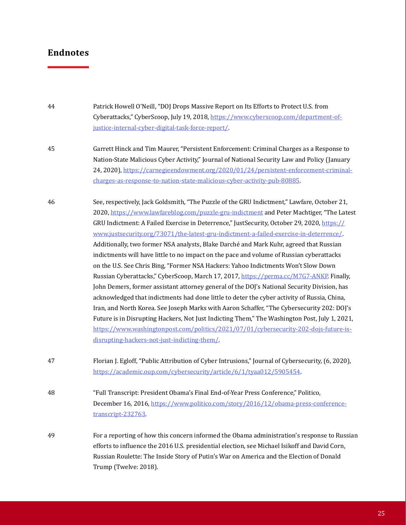Patrick Howell O'Neill, "DOJ Drops Massive Report on Its Efforts to Protect U.S. from Cyberattacks," CyberScoop, July 19, 2018, [https://www.cyberscoop.com/department-of](https://www.cyberscoop.com/department-of-justice-internal-cyber-digital-task-force-report/)justice-internal-cyber-digital-task-force-report/. 44

- Garrett Hinck and Tim Maurer, "Persistent Enforcement: Criminal Charges as a Response to Nation-State Malicious Cyber Activity," Journal of National Security Law and Policy (January 24, 2020), [https://carnegieendowment.org/2020/01/24/persistent-enforcement-criminal](https://carnegieendowment.org/2020/01/24/persistent-enforcement-criminal-charges-as-response-to-nation-state-malicious-cyber-activity-pub-80885)charges-as-response-to-nation-state-malicious-cyber-activity-pub-80885. 45
- See, respectively, Jack Goldsmith, "The Puzzle of the GRU Indictment," Lawfare, October 21, 2020, <https://www.lawfareblog.com/puzzle-gru-indictment> and Peter Machtiger, "The Latest GRU Indictment: A Failed Exercise in Deterrence," JustSecurity, October 29, 2020, [https://](https://www.justsecurity.org/73071/the-latest-gru-indictment-a-failed-exercise-in-deterrence/) www.justsecurity.org/73071/the-latest-gru-indictment-a-failed-exercise-in-deterrence/. Additionally, two former NSA analysts, Blake Darché and Mark Kuhr, agreed that Russian indictments will have little to no impact on the pace and volume of Russian cyberattacks on the U.S. See Chris Bing, "Former NSA Hackers: Yahoo Indictments Won't Slow Down Russian Cyberattacks," CyberScoop, March 17, 2017,<https://perma.cc/M7G7-ANKP>. Finally, John Demers, former assistant attorney general of the DOJ's National Security Division, has acknowledged that indictments had done little to deter the cyber activity of Russia, China, Iran, and North Korea. See Joseph Marks with Aaron Schaffer, "The Cybersecurity 202: DOJ's Future is in Disrupting Hackers, Not Just Indicting Them," The Washington Post, July 1, 2021, [https://www.washingtonpost.com/politics/](https://www.washingtonpost.com/politics/2021/07/01/cybersecurity-202-dojs-future-is-disrupting-hackers-not-just-indicting-them/)2021/07/01/cybersecurity-202-dojs-future-isdisrupting-hackers-not-just-indicting-them/. 46
- Florian J. Egloff, "Public Attribution of Cyber Intrusions," Journal of Cybersecurity, (6, 2020), [https://academic.oup.com/cybersecurity/article/6/1/tyaa012/5905](https://www.academic.oup.com/cybersecurity/article/6/1/tyaa012.5905454)454. 47
- "Full Transcript: President Obama's Final End-of-Year Press Conference," Politico, December 16, 2016[, https://www.polit](https://www.politico.com/story/2016/12/obama-press-conference-transcript-232763)ico.com/story/2016/12/obama-press-conferencetranscript-232763. 48
- For a reporting of how this concern informed the Obama administration's response to Russian efforts to influence the 2016 U.S. presidential election, see Michael Isikoff and David Corn, Russian Roulette: The Inside Story of Putin's War on America and the Election of Donald Trump (Twelve: 2018). 49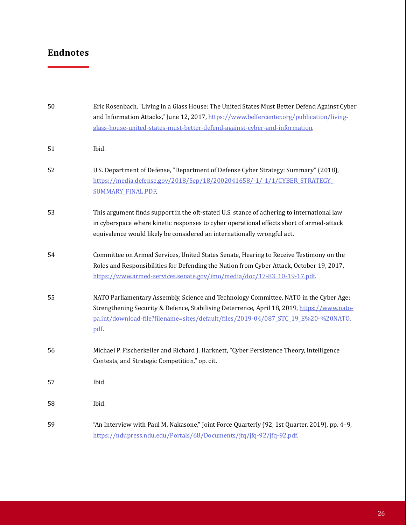| 50 | Eric Rosenbach, "Living in a Glass House: The United States Must Better Defend Against Cyber<br>and Information Attacks," June 12, 2017, https://www.belfercenter.org/publication/living-<br>glass-house-united-states-must-better-defend-against-cyber-and-information.           |
|----|------------------------------------------------------------------------------------------------------------------------------------------------------------------------------------------------------------------------------------------------------------------------------------|
| 51 | Ibid.                                                                                                                                                                                                                                                                              |
| 52 | U.S. Department of Defense, "Department of Defense Cyber Strategy: Summary" (2018),<br>https://media.defense.gov/2018/Sep/18/2002041658/-1/-1/1/CYBER STRATEGY<br><b>SUMMARY_FINAL.PDF</b>                                                                                         |
| 53 | This argument finds support in the oft-stated U.S. stance of adhering to international law<br>in cyberspace where kinetic responses to cyber operational effects short of armed-attack<br>equivalence would likely be considered an internationally wrongful act.                  |
| 54 | Committee on Armed Services, United States Senate, Hearing to Receive Testimony on the<br>Roles and Responsibilities for Defending the Nation from Cyber Attack, October 19, 2017,<br>https://www.armed-services.senate.gov/imo/media/doc/17-83_10-19-17.pdf                       |
| 55 | NATO Parliamentary Assembly, Science and Technology Committee, NATO in the Cyber Age:<br>Strengthening Security & Defence, Stabilising Deterrence, April 18, 2019, https://www.nato-<br>pa.int/download-file?filename=sites/default/files/2019-04/087_STC_19_E%20-%20NATO.<br>pdf. |
| 56 | Michael P. Fischerkeller and Richard J. Harknett, "Cyber Persistence Theory, Intelligence<br>Contests, and Strategic Competition," op. cit.                                                                                                                                        |
| 57 | Ibid.                                                                                                                                                                                                                                                                              |
| 58 | Ibid.                                                                                                                                                                                                                                                                              |
| 59 | "An Interview with Paul M. Nakasone," Joint Force Quarterly (92, 1st Quarter, 2019), pp. 4-9,<br>https://ndupress.ndu.edu/Portals/68/Documents/jfq/jfq-92/jfq-92.pdf                                                                                                               |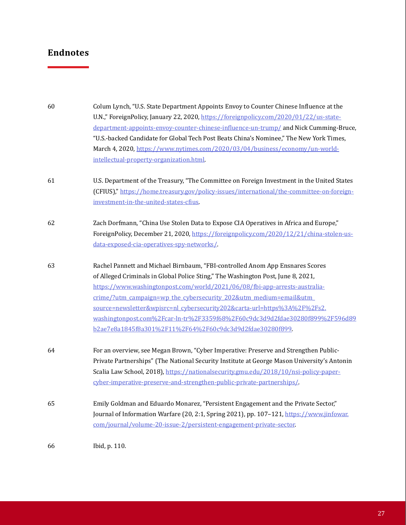| 60 | Colum Lynch, "U.S. State Department Appoints Envoy to Counter Chinese Influence at the<br>U.N.," ForeignPolicy, January 22, 2020, https://foreignpolicy.com/2020/01/22/us-state-<br>department-appoints-envoy-counter-chinese-influence-un-trump/ and Nick Cumming-Bruce,<br>"U.S.-backed Candidate for Global Tech Post Beats China's Nominee," The New York Times,<br>March 4, 2020, https://www.nytimes.com/2020/03/04/business/economy/un-world- |
|----|------------------------------------------------------------------------------------------------------------------------------------------------------------------------------------------------------------------------------------------------------------------------------------------------------------------------------------------------------------------------------------------------------------------------------------------------------|
|    | intellectual-property-organization.html                                                                                                                                                                                                                                                                                                                                                                                                              |
| 61 | U.S. Department of the Treasury, "The Committee on Foreign Investment in the United States                                                                                                                                                                                                                                                                                                                                                           |
|    | (CFIUS)," https://home.treasury.gov/policy-issues/international/the-committee-on-foreign-                                                                                                                                                                                                                                                                                                                                                            |
|    | investment-in-the-united-states-cfius                                                                                                                                                                                                                                                                                                                                                                                                                |
| 62 | Zach Dorfmann, "China Use Stolen Data to Expose CIA Operatives in Africa and Europe,"                                                                                                                                                                                                                                                                                                                                                                |
|    | ForeignPolicy, December 21, 2020, https://foreignpolicy.com/2020/12/21/china-stolen-us-                                                                                                                                                                                                                                                                                                                                                              |
|    | data-exposed-cia-operatives-spy-networks/                                                                                                                                                                                                                                                                                                                                                                                                            |
| 63 | Rachel Pannett and Michael Birnbaum, "FBI-controlled Anom App Ensnares Scores                                                                                                                                                                                                                                                                                                                                                                        |
|    | of Alleged Criminals in Global Police Sting," The Washington Post, June 8, 2021,                                                                                                                                                                                                                                                                                                                                                                     |
|    | https://www.washingtonpost.com/world/2021/06/08/fbi-app-arrests-australia-                                                                                                                                                                                                                                                                                                                                                                           |
|    | crime/?utm_campaign=wp_the_cybersecurity_202&utm_medium=email&utm_                                                                                                                                                                                                                                                                                                                                                                                   |
|    | source=newsletter&wpisrc=nl_cybersecurity202&carta-url=https%3A%2F%2Fs2.                                                                                                                                                                                                                                                                                                                                                                             |
|    | washingtonpost.com%2Fcar-ln-tr%2F3359f68%2F60c9dc3d9d2fdae30280f899%2F596d89                                                                                                                                                                                                                                                                                                                                                                         |
|    | b2ae7e8a1845f8a301%2F11%2F64%2F60c9dc3d9d2fdae30280f899                                                                                                                                                                                                                                                                                                                                                                                              |
| 64 | For an overview, see Megan Brown, "Cyber Imperative: Preserve and Strengthen Public-                                                                                                                                                                                                                                                                                                                                                                 |
|    | Private Partnerships" (The National Security Institute at George Mason University's Antonin                                                                                                                                                                                                                                                                                                                                                          |
|    | Scalia Law School, 2018), https://nationalsecurity.gmu.edu/2018/10/nsi-policy-paper-                                                                                                                                                                                                                                                                                                                                                                 |
|    | cyber-imperative-preserve-and-strengthen-public-private-partnerships/                                                                                                                                                                                                                                                                                                                                                                                |
| 65 | Emily Goldman and Eduardo Monarez, "Persistent Engagement and the Private Sector,"                                                                                                                                                                                                                                                                                                                                                                   |
|    | Journal of Information Warfare (20, 2:1, Spring 2021), pp. 107-121, https://www.jinfowar.                                                                                                                                                                                                                                                                                                                                                            |
|    | com/journal/volume-20-issue-2/persistent-engagement-private-sector                                                                                                                                                                                                                                                                                                                                                                                   |
| 66 | Ibid, p. 110.                                                                                                                                                                                                                                                                                                                                                                                                                                        |
|    |                                                                                                                                                                                                                                                                                                                                                                                                                                                      |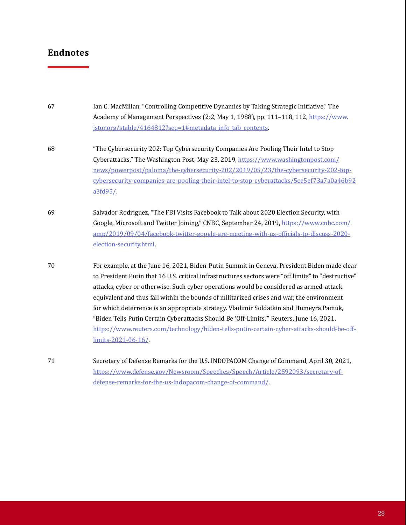| 67 | Ian C. MacMillan, "Controlling Competitive Dynamics by Taking Strategic Initiative," The<br>Academy of Management Perspectives (2:2, May 1, 1988), pp. 111-118, 112, https://www.<br>jstor.org/stable/4164812?seq=1#metadata_info_tab_contents                                                                                                                                                                                                                                                                                                                                                                                                                                                    |
|----|---------------------------------------------------------------------------------------------------------------------------------------------------------------------------------------------------------------------------------------------------------------------------------------------------------------------------------------------------------------------------------------------------------------------------------------------------------------------------------------------------------------------------------------------------------------------------------------------------------------------------------------------------------------------------------------------------|
|    |                                                                                                                                                                                                                                                                                                                                                                                                                                                                                                                                                                                                                                                                                                   |
| 68 | "The Cybersecurity 202: Top Cybersecurity Companies Are Pooling Their Intel to Stop<br>Cyberattacks," The Washington Post, May 23, 2019, https://www.washingtonpost.com/<br>news/powerpost/paloma/the-cybersecurity-202/2019/05/23/the-cybersecurity-202-top-<br>cybersecurity-companies-are-pooling-their-intel-to-stop-cyberattacks/5ce5ef73a7a0a46b92<br>a3fd95/                                                                                                                                                                                                                                                                                                                               |
| 69 | Salvador Rodriguez, "The FBI Visits Facebook to Talk about 2020 Election Security, with<br>Google, Microsoft and Twitter Joining," CNBC, September 24, 2019, https://www.cnbc.com/<br>amp/2019/09/04/facebook-twitter-google-are-meeting-with-us-officials-to-discuss-2020-<br>election-security.html                                                                                                                                                                                                                                                                                                                                                                                             |
| 70 | For example, at the June 16, 2021, Biden-Putin Summit in Geneva, President Biden made clear<br>to President Putin that 16 U.S. critical infrastructures sectors were "off limits" to "destructive"<br>attacks, cyber or otherwise. Such cyber operations would be considered as armed-attack<br>equivalent and thus fall within the bounds of militarized crises and war, the environment<br>for which deterrence is an appropriate strategy. Vladimir Soldatkin and Humeyra Pamuk,<br>"Biden Tells Putin Certain Cyberattacks Should Be 'Off-Limits," Reuters, June 16, 2021,<br>https://www.reuters.com/technology/biden-tells-putin-certain-cyber-attacks-should-be-off-<br>limits-2021-06-16/ |
| 71 | Secretary of Defense Remarks for the U.S. INDOPACOM Change of Command, April 30, 2021,<br>https://www.defense.gov/Newsroom/Speeches/Speech/Article/2592093/secretary-of-<br>defense-remarks-for-the-us-indopacom-change-of-command/                                                                                                                                                                                                                                                                                                                                                                                                                                                               |